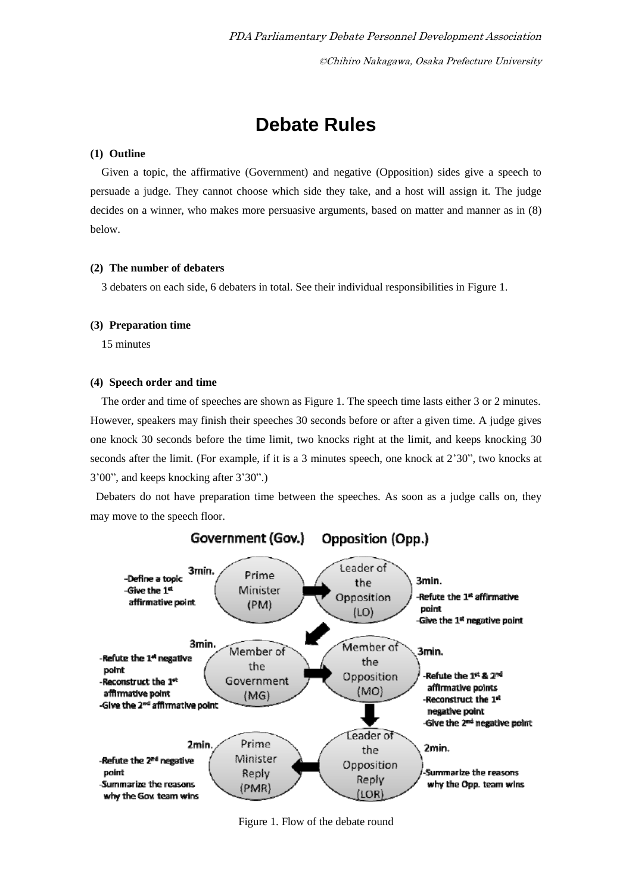# **Debate Rules**

# **(1) Outline**

Given a topic, the affirmative (Government) and negative (Opposition) sides give a speech to persuade a judge. They cannot choose which side they take, and a host will assign it. The judge decides on a winner, who makes more persuasive arguments, based on matter and manner as in (8) below.

# **(2) The number of debaters**

3 debaters on each side, 6 debaters in total. See their individual responsibilities in Figure 1.

# **(3) Preparation time**

15 minutes

# **(4) Speech order and time**

The order and time of speeches are shown as Figure 1. The speech time lasts either 3 or 2 minutes. However, speakers may finish their speeches 30 seconds before or after a given time. A judge gives one knock 30 seconds before the time limit, two knocks right at the limit, and keeps knocking 30 seconds after the limit. (For example, if it is a 3 minutes speech, one knock at 2'30", two knocks at 3'00", and keeps knocking after 3'30".)

Debaters do not have preparation time between the speeches. As soon as a judge calls on, they may move to the speech floor.



Figure 1. Flow of the debate round